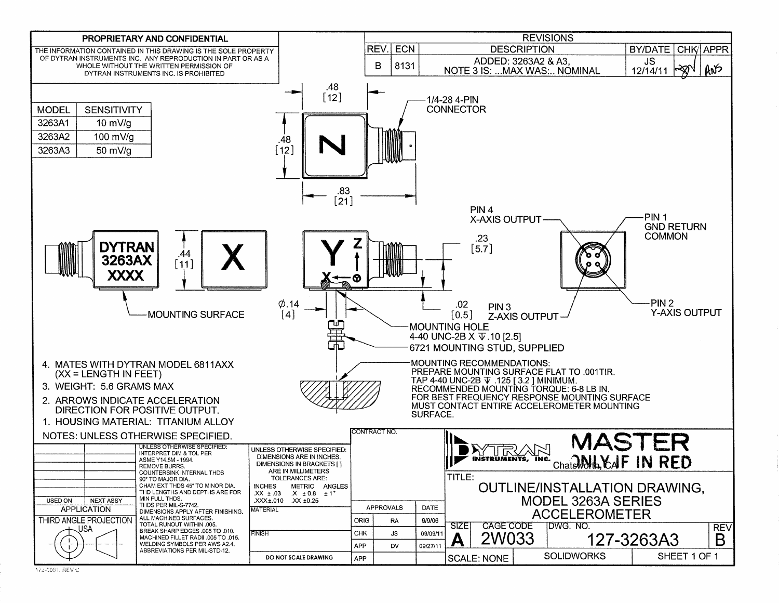